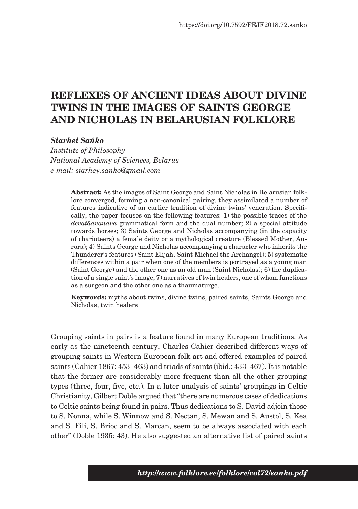# **REFLEXES OF ANCIENT IDEAS ABOUT DIVINE TWINS IN THE IMAGES OF SAINTS GEORGE AND NICHOLAS IN BELARUSIAN FOLKLORE**

*Siarhei Sańko*

*Institute of Philosophy National Academy of Sciences, Belarus e-mail: siarhey.sanko@gmail.com*

> **Abstract:** As the images of Saint George and Saint Nicholas in Belarusian folklore converged, forming a non-canonical pairing, they assimilated a number of features indicative of an earlier tradition of divine twins' veneration. Specifically, the paper focuses on the following features: 1) the possible traces of the *devatādvandva* grammatical form and the dual number; 2) a special attitude towards horses; 3) Saints George and Nicholas accompanying (in the capacity of charioteers) a female deity or a mythological creature (Blessed Mother, Aurora); 4) Saints George and Nicholas accompanying a character who inherits the Thunderer's features (Saint Elijah, Saint Michael the Archangel); 5) systematic differences within a pair when one of the members is portrayed as a young man (Saint George) and the other one as an old man (Saint Nicholas); 6) the duplication of a single saint's image; 7) narratives of twin healers, one of whom functions as a surgeon and the other one as a thaumaturge.

> **Keywords:** myths about twins, divine twins, paired saints, Saints George and Nicholas, twin healers

Grouping saints in pairs is a feature found in many European traditions. As early as the nineteenth century, Charles Cahier described different ways of grouping saints in Western European folk art and offered examples of paired saints (Cahier 1867: 453–463) and triads of saints (ibid.: 433–467). It is notable that the former are considerably more frequent than all the other grouping types (three, four, five, etc.). In a later analysis of saints' groupings in Celtic Christianity, Gilbert Doble argued that "there are numerous cases of dedications to Celtic saints being found in pairs. Thus dedications to S. David adjoin those to S. Nonna, while S. Winnow and S. Nectan, S. Mewan and S. Austol, S. Kea and S. Fili, S. Brioc and S. Marcan, seem to be always associated with each other" (Doble 1935: 43). He also suggested an alternative list of paired saints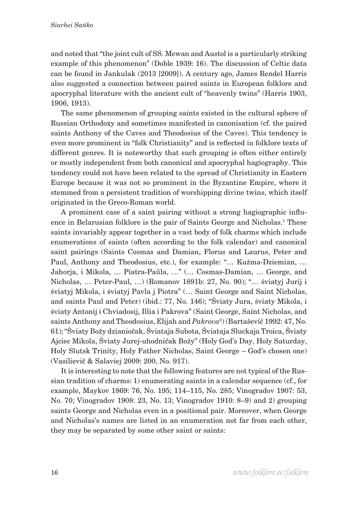and noted that "the joint cult of SS. Mewan and Austol is a particularly striking example of this phenomenon" (Doble 1939: 16). The discussion of Celtic data can be found in Jankulak (2013 [2009]). A century ago, James Rendel Harris also suggested a connection between paired saints in European folklore and apocryphal literature with the ancient cult of "heavenly twins" (Harris 1903, 1906, 1913).

The same phenomenon of grouping saints existed in the cultural sphere of Russian Orthodoxy and sometimes manifested in canonisation (cf. the paired saints Anthony of the Caves and Theodosius of the Caves). This tendency is even more prominent in "folk Christianity" and is reflected in folklore texts of different genres. It is noteworthy that such grouping is often either entirely or mostly independent from both canonical and apocryphal hagiography. This tendency could not have been related to the spread of Christianity in Eastern Europe because it was not so prominent in the Byzantine Empire, where it stemmed from a persistent tradition of worshipping divine twins, which itself originated in the Greco-Roman world.

A prominent case of a saint pairing without a strong hagiographic influence in Belarusian folklore is the pair of Saints George and Nicholas.<sup>1</sup> These saints invariably appear together in a vast body of folk charms which include enumerations of saints (often according to the folk calendar) and canonical saint pairings (Saints Cosmas and Damian, Florus and Laurus, Peter and Paul, Anthony and Theodosius, etc.), for example: "… Kuźma-Dziemian, … Jahorja, i Mikola, … Piatra-Paŭla, …" (… Cosmas-Damian, … George, and Nicholas, … Peter-Paul, …) (Romanov 1891b: 27, No. 90); "… śviatyj Jurij i śviatyj Mikola, i śviatyj Pavla j Piotra" (… Saint George and Saint Nicholas, and saints Paul and Peter) (ibid.: 77, No. 146); "Śviaty Jura, śviaty Mikola, i śviaty Antonij i Chviadosij, Illia i Pakrova" (Saint George, Saint Nicholas, and saints Anthony and Theodosius, Elijah and *Pakrova*<sup>2</sup> ) (Bartaševič 1992: 47, No. 61); "Śviaty Božy dzianiočak, Śviataja Subota, Śviataja Sluckaja Troica, Śviaty Ajciec Mikola, Śviaty Jurej-uhodničak Božy" (Holy God's Day, Holy Saturday, Holy Slutsk Trinity, Holy Father Nicholas, Saint George – God's chosen one) (Vasilievič & Salaviej 2009: 200, No. 917).

It is interesting to note that the following features are not typical of the Russian tradition of charms: 1) enumerating saints in a calendar sequence (cf., for example, Maykov 1869: 76, No. 195; 114–115, No. 285; Vinogradov 1907: 53, No. 70; Vinogradov 1908: 23, No. 13; Vinogradov 1910: 8–9) and 2) grouping saints George and Nicholas even in a positional pair. Moreover, when George and Nicholas's names are listed in an enumeration not far from each other, they may be separated by some other saint or saints: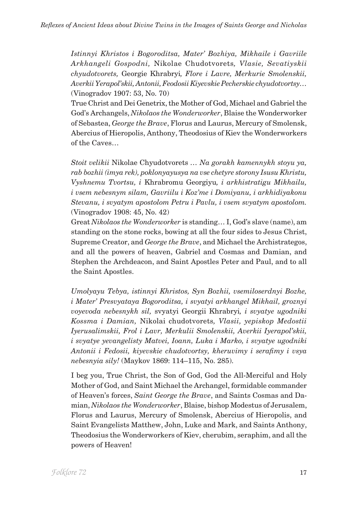*Istinnyi Khristos i Bogoroditsa, Mater' Bozhiya, Mikhaile i Gavriile Arkhangeli Gospodni,* Nikolae Chudotvorets*, Vlasie, Sevatiyskii chyudotvorets,* Georgie Khrabryi*, Flore i Lavre, Merkurie Smolenskii, Averkii Yerapol'skii, Antonii, Feodosii Kiyevskie Pecherskie chyudotvortsy…*  (Vinogradov 1907: 53, No. 70)

True Christ and Dei Genetrix, the Mother of God, Michael and Gabriel the God's Archangels, *Nikolaos the Wonderworker*, Blaise the Wonderworker of Sebastea, *George the Brave*, Florus and Laurus, Mercury of Smolensk, Abercius of Hieropolis, Anthony, Theodosius of Kiev the Wonderworkers of the Caves…

*Stoit velikii* Nikolae Chyudotvorets *… Na gorakh kamennykh stoyu ya, rab bozhii (imya rek), poklonyayusya na vse chetyre storony Isusu Khristu, Vyshnemu Tvortsu, i* Khrabromu Georgiyu*, i arkhistratigu Mikhailu, i vsem nebesnym silam, Gavriilu i Koz'me i Domiyanu, i arkhidiyakonu Stevanu, i svyatym apostolom Petru i Pavlu, i vsem svyatym apostolom.*  (Vinogradov 1908: 45, No. 42)

Great *Nikolaos the Wonderworker* is standing… I, God's slave (name), am standing on the stone rocks, bowing at all the four sides to Jesus Christ, Supreme Creator, and *George the Brave*, and Michael the Archistrategos, and all the powers of heaven, Gabriel and Cosmas and Damian, and Stephen the Archdeacon, and Saint Apostles Peter and Paul, and to all the Saint Apostles.

*Umolyayu Tebya, istinnyi Khristos, Syn Bozhii, vsemiloserdnyi Bozhe, i Mater' Presvyataya Bogoroditsa, i svyatyi arkhangel Mikhail, groznyi voyevoda nebesnykh sil,* svyatyi Georgii Khrabryi*, i svyatye ugodniki Kossma i Damian,* Nikolai chudotvorets*, Vlasii, yepiskop Medostii Iyerusalimskii, Frol i Lavr, Merkulii Smolenskii, Averkii Iyerapol'skii, i svyatye yevangelisty Matvei, Ioann, Luka i Marko, i svyatye ugodniki Antonii i Fedosii, kiyevskie chudotvortsy, kheruvimy i serafimy i vsya nebesnyia sily!* (Maykov 1869: 114–115, No. 285).

I beg you, True Christ, the Son of God, God the All-Merciful and Holy Mother of God, and Saint Michael the Archangel, formidable commander of Heaven's forces, *Saint George the Brave*, and Saints Cosmas and Damian, *Nikolaos the Wonderworker*, Blaise, bishop Modestus of Jerusalem, Florus and Laurus, Mercury of Smolensk, Abercius of Hieropolis, and Saint Evangelists Matthew, John, Luke and Mark, and Saints Anthony, Theodosius the Wonderworkers of Kiev, cherubim, seraphim, and all the powers of Heaven!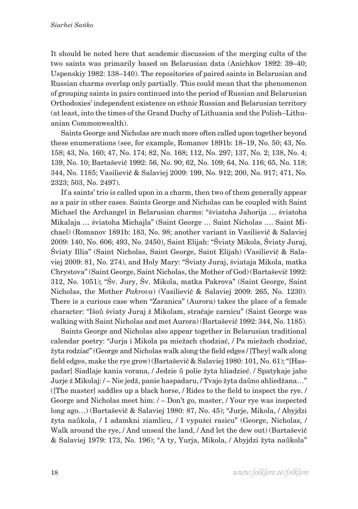It should be noted here that academic discussion of the merging cults of the two saints was primarily based on Belarusian data (Anichkov 1892: 39–40; Uspenskiy 1982: 138–140). The repositories of paired saints in Belarusian and Russian charms overlap only partially. This could mean that the phenomenon of grouping saints in pairs continued into the period of Russian and Belarusian Orthodoxies' independent existence on ethnic Russian and Belarusian territory (at least, into the times of the Grand Duchy of Lithuania and the Polish–Lithuanian Commonwealth).

Saints George and Nicholas are much more often called upon together beyond these enumerations (see, for example, Romanov 1891b: 18–19, No. 50; 43, No. 158; 43, No. 160; 47, No. 174; 82, No. 168; 112, No. 297; 137, No. 2; 138, No. 4; 139, No. 10; Bartaševič 1992: 56, No. 90; 62, No. 109; 64, No. 116; 65, No. 118; 344, No. 1185; Vasilievič & Salaviej 2009: 199, No. 912; 200, No. 917; 471, No. 2323; 503, No. 2497).

If a saints' trio is called upon in a charm, then two of them generally appear as a pair in other cases. Saints George and Nicholas can be coupled with Saint Michael the Archangel in Belarusian charms: "śviatoha Jahorija … śviatoha Mikalaja … śviatoha Michajla" (Saint George … Saint Nicholas …. Saint Michael) (Romanov 1891b: 183, No. 98; another variant in Vasilievič & Salaviej 2009: 140, No. 606; 493, No. 2450), Saint Elijah: "Śviaty Mikola, Śviaty Juraj, Śviaty Illia" (Saint Nicholas, Saint George, Saint Elijah) (Vasilievič & Salaviej 2009: 81, No. 274), and Holy Mary: "Śviaty Juraj, śviataja Mikola, matka Chrystova" (Saint George, Saint Nicholas, the Mother of God) (Bartaševič 1992: 312, No. 1051); "Śv. Jury, Śv. Mikola, matka Pakrova" (Saint George, Saint Nicholas, the Mother *Pakrova*) (Vasilievič & Salaviej 2009: 265, No. 1230). There is a curious case when "Zaranica" (Aurora) takes the place of a female character: "Išoŭ śviaty Juraj ź Mikolam, stračaje zarnicu" (Saint George was walking with Saint Nicholas and met Aurora) (Bartaševič 1992: 344, No. 1185).

Saints George and Nicholas also appear together in Belarusian traditional calendar poetry: "Jurja i Mikola pa miežach chodziać, / Pa miežach chodziać, žyta rodziać" (George and Nicholas walk along the field edges / [They] walk along field edges, make the rye grow) (Bartaševič & Salaviej 1980: 101, No. 61); "[Haspadar] Siadlaje kania vorana, / Jedzie ŭ polie žyta hliadzieć. / Spatykaje jaho Jurje ź Mikolaj: / – Nie jedź, panie haspadaru, / Tvajo žyta daŭno ahliedžana…" ([The master] saddles up a black horse, / Rides to the field to inspect the rye. / George and Nicholas meet him: / – Don't go, master, / Your rye was inspected long ago…) (Bartaševič & Salaviej 1980: 87, No. 45); "Jurje, Mikola, / Abyjdzi žyta naŭkola, / I adamkni ziamlicu, / I vypuści rasicu" (George, Nicholas, / Walk around the rye, / And unseal the land, / And let the dew out) (Bartaševič & Salaviej 1979: 173, No. 196); "A ty, Yurja, Mikola, / Abyjdzi žyta naŭkola"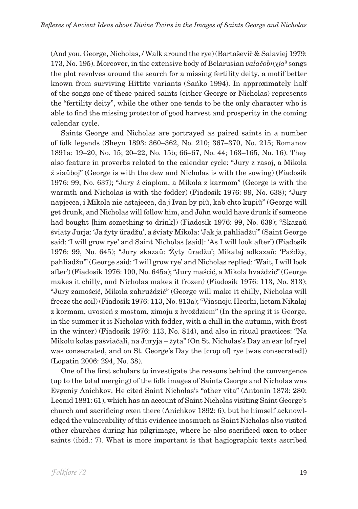(And you, George, Nicholas, / Walk around the rye) (Bartaševič & Salaviej 1979: 173, No. 195). Moreover, in the extensive body of Belarusian *valačobnyja*<sup>3</sup> songs the plot revolves around the search for a missing fertility deity, a motif better known from surviving Hittite variants (Sańko 1994). In approximately half of the songs one of these paired saints (either George or Nicholas) represents the "fertility deity", while the other one tends to be the only character who is able to find the missing protector of good harvest and prosperity in the coming calendar cycle.

Saints George and Nicholas are portrayed as paired saints in a number of folk legends (Sheyn 1893: 360–362, No. 210; 367–370, No. 215; Romanov 1891a: 19–20, No. 15; 20–22, No. 15b; 66–67, No. 44; 163–165, No. 16). They also feature in proverbs related to the calendar cycle: "Jury z rasoj, a Mikola ź siaŭboj" (George is with the dew and Nicholas is with the sowing) (Fiadosik 1976: 99, No. 637); "Jury ź ciaplom, a Mikola z karmom" (George is with the warmth and Nicholas is with the fodder) (Fiadosik 1976: 99, No. 638); "Jury napjecca, i Mikola nie astajecca, da j Ivan by piŭ, kab chto kupiŭ" (George will get drunk, and Nicholas will follow him, and John would have drunk if someone had bought [him something to drink]) (Fiadosik 1976: 99, No. 639); "Skazaŭ śviaty Jurja: 'Ja žyty ŭradžu', a śviaty Mikola: 'Jak ja pahliadžu'" (Saint George said: 'I will grow rye' and Saint Nicholas [said]: 'As I will look after') (Fiadosik 1976: 99, No. 645); "Jury skazaŭ: 'Žyty ŭradžu'; Mikalaj adkazaŭ: 'Paždžy, pahliadžu'" (George said: 'I will grow rye' and Nicholas replied: 'Wait, I will look after') (Fiadosik 1976: 100, No. 645а); "Jury maścić, a Mikola hvaździć" (George makes it chilly, and Nicholas makes it frozen) (Fiadosik 1976: 113, No. 813); "Jury zamościć, Mikola zahruździć" (George will make it chilly, Nicholas will freeze the soil) (Fiadosik 1976: 113, No. 813а); "Viasnoju Heorhi, lietam Nikalaj z kormam, uvosień z mostam, zimoju z hvoździem" (In the spring it is George, in the summer it is Nicholas with fodder, with a chill in the autumn, with frost in the winter) (Fiadosik 1976: 113, No. 814), and also in ritual practices: "Na Mikolu kolas paśviačali, na Juryja – žyta" (On St. Nicholas's Day an ear [of rye] was consecrated, and on St. George's Day the [crop of] rye [was consecrated]) (Lopatin 2006: 294, No. 38).

One of the first scholars to investigate the reasons behind the convergence (up to the total merging) of the folk images of Saints George and Nicholas was Evgeniy Anichkov. He cited Saint Nicholas's "other vita" (Antonin 1873: 280; Leonid 1881: 61), which has an account of Saint Nicholas visiting Saint George's church and sacrificing oxen there (Anichkov 1892: 6), but he himself acknowledged the vulnerability of this evidence inasmuch as Saint Nicholas also visited other churches during his pilgrimage, where he also sacrificed oxen to other saints (ibid.: 7). What is more important is that hagiographic texts ascribed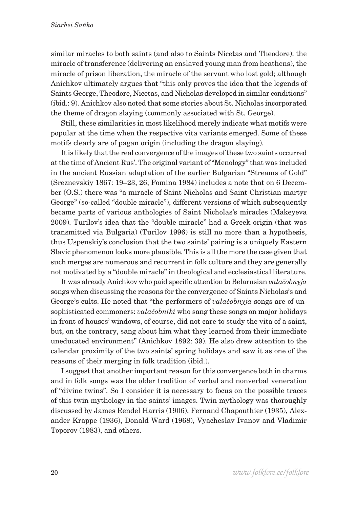similar miracles to both saints (and also to Saints Nicetas and Theodore): the miracle of transference (delivering an enslaved young man from heathens), the miracle of prison liberation, the miracle of the servant who lost gold; although Anichkov ultimately argues that "this only proves the idea that the legends of Saints George, Theodore, Nicetas, and Nicholas developed in similar conditions" (ibid.: 9). Anichkov also noted that some stories about St. Nicholas incorporated the theme of dragon slaying (commonly associated with St. George).

Still, these similarities in most likelihood merely indicate what motifs were popular at the time when the respective vita variants emerged. Some of these motifs clearly are of pagan origin (including the dragon slaying).

It is likely that the real convergence of the images of these two saints occurred at the time of Ancient Rus'. The original variant of "Menology" that was included in the ancient Russian adaptation of the earlier Bulgarian "Streams of Gold" (Sreznevskiy 1867: 19–23, 26; Fomina 1984) includes a note that on 6 December (O.S.) there was "a miracle of Saint Nicholas and Saint Christian martyr George" (so-called "double miracle"), different versions of which subsequently became parts of various anthologies of Saint Nicholas's miracles (Makeyeva 2009). Turilov's idea that the "double miracle" had a Greek origin (that was transmitted via Bulgaria) (Turilov 1996) is still no more than a hypothesis, thus Uspenskiy's conclusion that the two saints' pairing is a uniquely Eastern Slavic phenomenon looks more plausible. This is all the more the case given that such merges are numerous and recurrent in folk culture and they are generally not motivated by a "double miracle" in theological and ecclesiastical literature.

It was already Anichkov who paid specific attention to Belarusian *valačobnyja* songs when discussing the reasons for the convergence of Saints Nicholas's and George's cults. He noted that "the performers of *valačobnyja* songs are of unsophisticated commoners: *valačobniki* who sang these songs on major holidays in front of houses' windows, of course, did not care to study the vita of a saint, but, on the contrary, sang about him what they learned from their immediate uneducated environment" (Anichkov 1892: 39). He also drew attention to the calendar proximity of the two saints' spring holidays and saw it as one of the reasons of their merging in folk tradition (ibid.).

I suggest that another important reason for this convergence both in charms and in folk songs was the older tradition of verbal and nonverbal veneration of "divine twins". So I consider it is necessary to focus on the possible traces of this twin mythology in the saints' images. Twin mythology was thoroughly discussed by James Rendel Harris (1906), Fernand Chapouthier (1935), Alexander Krappe (1936), Donald Ward (1968), Vyacheslav Ivanov and Vladimir Toporov (1983), and others.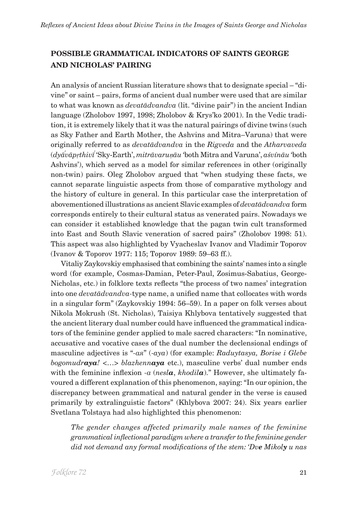# **POSSIBLE GRAMMATICAL INDICATORS OF SAINTS GEORGE AND NICHOLAS' PAIRING**

An analysis of ancient Russian literature shows that to designate special – "divine" or saint – pairs, forms of ancient dual number were used that are similar to what was known as *devatādvandva* (lit. "divine pair") in the ancient Indian language (Zholobov 1997, 1998; Zholobov & Krys'ko 2001). In the Vedic tradition, it is extremely likely that it was the natural pairings of divine twins (such as Sky Father and Earth Mother, the Ashvins and Mitra–Varuna) that were originally referred to as *devatādvandva* in the *Rigveda* and the *Atharvaveda* (*dyāvāp ́ ṛthivī* 'Sky-Earth', *́ mitrāvaruṇāu* 'both Mitra and Varuna', *aśvínāu* 'both Ashvins'), which served as a model for similar references in other (originally non-twin) pairs. Oleg Zholobov argued that "when studying these facts, we cannot separate linguistic aspects from those of comparative mythology and the history of culture in general. In this particular case the interpretation of abovementioned illustrations as ancient Slavic examples of *devatādvandva* form corresponds entirely to their cultural status as venerated pairs. Nowadays we can consider it established knowledge that the pagan twin cult transformed into East and South Slavic veneration of sacred pairs" (Zholobov 1998: 51). This aspect was also highlighted by Vyacheslav Ivanov and Vladimir Toporov (Ivanov & Toporov 1977: 115; Toporov 1989: 59–63 ff.).

Vitaliy Zaykovskiy emphasised that combining the saints' names into a single word (for example, Cosmas-Damian, Peter-Paul, Zosimus-Sabatius, George-Nicholas, etc.) in folklore texts reflects "the process of two names' integration into one *devatādvandva-*type name, a unified name that collocates with words in a singular form" (Zaykovskiy 1994: 56–59). In a paper on folk verses about Nikola Mokrush (St. Nicholas), Taisiya Khlybova tentatively suggested that the ancient literary dual number could have influenced the grammatical indicators of the feminine gender applied to male sacred characters: "In nominative, accusative and vocative cases of the dual number the declensional endings of masculine adjectives is "*-ая*" (*-aya*) (for example: *Raduytasya, Borise i Glebe bogomudraya!* <…> *blazhennaya* etc.), masculine verbs' dual number ends with the feminine inflexion *-a* (*nesla*, *khodila*)." However, she ultimately favoured a different explanation of this phenomenon, saying: "In our opinion, the discrepancy between grammatical and natural gender in the verse is caused primarily by extralinguistic factors" (Khlybova 2007: 24). Six years earlier Svetlana Tolstaya had also highlighted this phenomenon:

*The gender changes affected primarily male names of the feminine grammatical inflectional paradigm where a transfer to the feminine gender did not demand any formal modifications of the stem: 'Dve Mikoly u nas*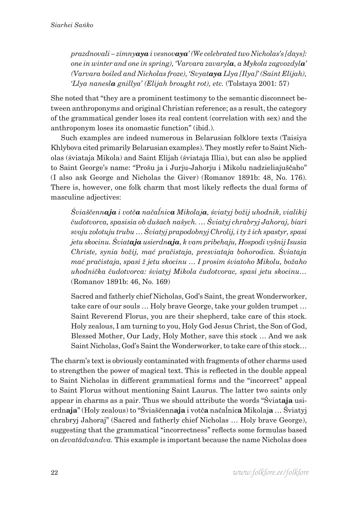*prazdnovali – zimnyaya i vesnovaya' (We celebrated two Nicholas's [days]: one in winter and one in spring), 'Varvara zavaryla, a Mykola zagvozdyla' (Varvara boiled and Nicholas froze), 'Svyataya Llya [Ilya]' (Saint Elijah), 'Llya nanesla gnillya' (Elijah brought rot), etc.* (Tolstaya 2001: 57)

She noted that "they are a prominent testimony to the semantic disconnect between anthroponyms and original Christian reference; as a result, the category of the grammatical gender loses its real content (correlation with sex) and the anthroponym loses its onomastic function" (ibid.).

Such examples are indeed numerous in Belarusian folklore texts (Taisiya Khlybova cited primarily Belarusian examples). They mostly refer to Saint Nicholas (śviataja Mikola) and Saint Elijah (śviataja Illia), but can also be applied to Saint George's name: "Prošu ja i Jurju-Jahorju i Mikolu nadzieliajuščaho" (I also ask George and Nicholas the Giver) (Romanov 1891b: 48, No. 176). There is, however, one folk charm that most likely reflects the dual forms of masculine adjectives:

*Śviaščennaja i votča načaĺnica Mikolaja, śviatyj božij uhodnik, vialikij čudotvorca, spasisia ob dušach našych. … Śviatyj chrabryj Jahoraj, biari svoju zolotuju trubu … Śviatyj prapodobnyj Chrolij, i ty ž ich spastyr, spasi jetu skocinu. Śviataja usierdnaja, k vam pribehaju, Hospodi vyšnij Isusia Christe, synia božij, mać pračistaja, presviataja bohorodica. Śviataja mać pračistaja, spasi ž jetu skocinu … I prosim śviatoho Mikolu, božaho uhodnička čudotvorca: śviatyj Mikola čudotvorac, spasi jetu skocinu…*  (Romanov 1891b: 46, No. 169)

Sacred and fatherly chief Nicholas, God's Saint, the great Wonderworker, take care of our souls … Holy brave George, take your golden trumpet … Saint Reverend Florus, you are their shepherd, take care of this stock. Holy zealous, I am turning to you, Holy God Jesus Christ, the Son of God, Blessed Mother, Our Lady, Holy Mother, save this stock … And we ask Saint Nicholas, God's Saint the Wonderworker, to take care of this stock…

The charm's text is obviously contaminated with fragments of other charms used to strengthen the power of magical text. This is reflected in the double appeal to Saint Nicholas in different grammatical forms and the "incorrect" appeal to Saint Florus without mentioning Saint Laurus. The latter two saints only appear in charms as a pair. Thus we should attribute the words "Śviat**aja** usierdn**aja**" (Holy zealous) to "Śviaščenn**aja** i votč**a** načaĺnic**a** Mikolaj**a** … Śviatyj chrabryj Jahoraj" (Sacred and fatherly chief Nicholas … Holy brave George), suggesting that the grammatical "incorrectness" reflects some formulas based on *devatādvandva.* This example is important because the name Nicholas does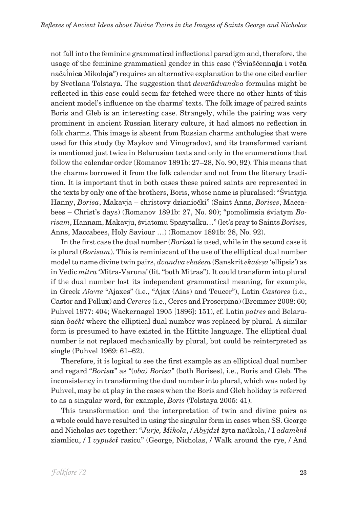not fall into the feminine grammatical inflectional paradigm and, therefore, the usage of the feminine grammatical gender in this case ("Śviaščenn**aja** i votč**a** načaĺnic**a** Mikolaj**a**") requires an alternative explanation to the one cited earlier by Svetlana Tolstaya. The suggestion that *devatādvandva* formulas might be reflected in this case could seem far-fetched were there no other hints of this ancient model's influence on the charms' texts. The folk image of paired saints Boris and Gleb is an interesting case. Strangely, while the pairing was very prominent in ancient Russian literary culture, it had almost no reflection in folk charms. This image is absent from Russian charms anthologies that were used for this study (by Maykov and Vinogradov), and its transformed variant is mentioned just twice in Belarusian texts and only in the enumerations that follow the calendar order (Romanov 1891b: 27–28, No. 90, 92). This means that the charms borrowed it from the folk calendar and not from the literary tradition. It is important that in both cases these paired saints are represented in the texts by only one of the brothers, Boris, whose name is pluralised: "Śviatyja Hanny, *Borisa*, Makavja – christovy dzianiočki" (Saint Anns, *Borises*, Maccabees – Christ's days) (Romanov 1891b: 27, No. 90); "pomolimsia śviatym *Borisam*, Hannam, Makavju, śviatomu Spasytaĺku…" (let's pray to Saints *Borises*, Anns, Maccabees, Holy Saviour …) (Romanov 1891b: 28, No. 92).

In the first case the dual number (*Borisa*) is used, while in the second case it is plural (*Borisam*). This is reminiscent of the use of the elliptical dual number model to name divine twin pairs, *dvandva ekaśeṣa* (Sanskrit *ekaśeṣa* 'ellipsis') as in Vedic *mitrā* 'Mitra-Varuna' (lit. "both Mitras"). It could transform into plural if the dual number lost its independent grammatical meaning, for example, in Greek *Αἴαντε* "Ajaxes" (i.e., "Ajax (Aias) and Teucer"), Latin *Castores* (i.e., Castor and Pollux) and *Cereres* (i.e., Ceres and Proserpina) (Bremmer 2008: 60; Puhvel 1977: 404; Wackernagel 1905 [1896]: 151), cf. Latin *patres* and Belarusian *baćkí* where the elliptical dual number was replaced by plural. A similar form is presumed to have existed in the Hittite language. The elliptical dual number is not replaced mechanically by plural, but could be reinterpreted as single (Puhvel 1969: 61–62).

Therefore, it is logical to see the first example as an elliptical dual number and regard "*Borisa*" as "(*oba) Borisa*" (both Borises), i.e., Boris and Gleb. The inconsistency in transforming the dual number into plural, which was noted by Puhvel, may be at play in the cases when the Boris and Gleb holiday is referred to as a singular word, for example, *Boris* (Tolstaya 2005: 41).

This transformation and the interpretation of twin and divine pairs as a whole could have resulted in using the singular form in cases when SS. George and Nicholas act together: "*Jurje, Mikola*, / *Abyjdzi* žyta naŭkola, / I *adamkni* ziamlicu, / I *vypuści* rasicu" (George, Nicholas, / Walk around the rye, / And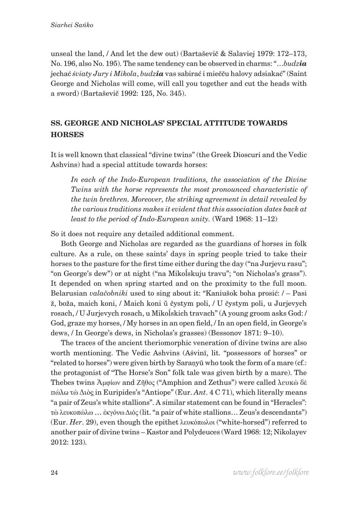unseal the land, / And let the dew out) (Bartaševič & Salaviej 1979: 172–173, No. 196, also No. 195). The same tendency can be observed in charms: "…*budzia* jechać *śviaty Jury i Mikola*, *budzia* vas sabirać i miečču halovy adsiakać" (Saint George and Nicholas will come, will call you together and cut the heads with a sword) (Bartaševič 1992: 125, No. 345).

### **SS. GEORGE AND NICHOLAS' SPECIAL ATTITUDE TOWARDS HORSES**

It is well known that classical "divine twins" (the Greek Dioscuri and the Vedic Ashvins) had a special attitude towards horses:

*In each of the Indo-European traditions, the association of the Divine Twins with the horse represents the most pronounced characteristic of the twin brethren. Moreover, the striking agreement in detail revealed by the various traditions makes it evident that this association dates back at least to the period of Indo-European unity.* (Ward 1968: 11–12)

So it does not require any detailed additional comment.

Both George and Nicholas are regarded as the guardians of horses in folk culture. As a rule, on these saints' days in spring people tried to take their horses to the pasture for the first time either during the day ("na Jurjevu rasu"; "on George's dew") or at night ("na Mikoĺskuju travu"; "on Nicholas's grass"). It depended on when spring started and on the proximity to the full moon. Belarusian *valačobniki* used to sing about it: "Kaniušok boha prosić: / – Pasi ž, boža, maich koni, / Maich koni ŭ čystym poli, / U čystym poli, u Jurjevych rosach, / U Jurjevych rosach, u Mikoĺskich travach" (A young groom asks God: / God, graze my horses, / My horses in an open field, / In an open field, in George's dews, / In George's dews, in Nicholas's grasses) (Bessonov 1871: 9–10).

The traces of the ancient theriomorphic veneration of divine twins are also worth mentioning. The Vedic Ashvins (Aśvinī, lit. "possessors of horses" or "related to horses") were given birth by Saraṇyū who took the form of a mare (cf.: the protagonist of "The Horse's Son" folk tale was given birth by a mare). The Thebes twins Ἀμφίων and Ζῆθος ("Amphion and Zethus") were called λευκὼ δὲ πώλω τὼ Διὸς in Euripides's "Antiope" (Eur. *Ant*. 4 C 71), which literally means "a pair of Zeus's white stallions". A similar statement can be found in "Heracles": τὼ λευκοπώλω … ἐκγόνω Διός (lit. "a pair of white stallions… Zeus's descendants") (Eur. *Her*. 29), even though the epithet λευκόπωλοι ("white-horsed") referred to another pair of divine twins – Kastor and Polydeuces (Ward 1968: 12; Nikolayev 2012: 123).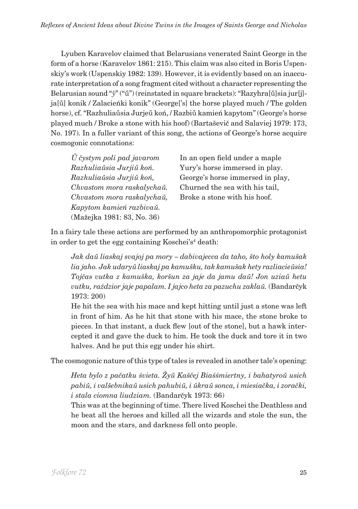Lyuben Karavelov claimed that Belarusians venerated Saint George in the form of a horse (Karavelov 1861: 215). This claim was also cited in Boris Uspenskiy's work (Uspenskiy 1982: 139). However, it is evidently based on an inaccurate interpretation of a song fragment cited without a character representing the Belarusian sound "*ÿ*" ("ŭ") (reinstated in square brackets): "Razyhra[ŭ]sia jur[j]ja[ŭ] konik / Zalacieńki konik" (George['s] the horse played much / The golden horse), cf. "Razhuliaŭsia Jurjeŭ koń, / Razbiŭ kamień kapytom" (George's horse played much / Broke a stone with his hoof) (Bartaševič and Salaviej 1979: 173, No. 197). In a fuller variant of this song, the actions of George's horse acquire cosmogonic connotations:

| U čystym poli pad javarom  | In an open field under a maple   |
|----------------------------|----------------------------------|
| Razhuliaŭsia Jurjiŭ koń.   | Yury's horse immersed in play.   |
| Razhuliaŭsia Jurjiŭ koń,   | George's horse immersed in play, |
| Chvastom mora raskalychaŭ. | Churned the sea with his tail,   |
| Chvastom mora raskalychaŭ, | Broke a stone with his hoof.     |
| Kapytom kamień razbivaŭ.   |                                  |
| (Mažejka 1981: 83, No. 36) |                                  |

In a fairy tale these actions are performed by an anthropomorphic protagonist in order to get the egg containing Koschei's<sup>4</sup> death:

*Jak daŭ liaskaj svajoj pa mory – dabivajecca da taho, što holy kamušak lia jaho. Jak udaryŭ liaskaj pa kamušku, tak kamušak hety razliacieŭsia! Tojčas vutka z kamuška, koršun za jaje da jamu daŭ! Jon uziaŭ hetu vutku, raździor jaje papalam. I jajco heta za pazuchu zaklaŭ.* (Bandarčyk 1973: 200)

He hit the sea with his mace and kept hitting until just a stone was left in front of him. As he hit that stone with his mace, the stone broke to pieces. In that instant, a duck flew [out of the stone], but a hawk intercepted it and gave the duck to him. He took the duck and tore it in two halves. And he put this egg under his shirt.

The cosmogonic nature of this type of tales is revealed in another tale's opening:

*Heta bylo z pačatku śvieta. Žyŭ Kaščej Biaśśmiertny, i bahatyroŭ usich pabiŭ, i valšebnikaŭ usich pahubiŭ, i ŭkraŭ sonca, i miesiačka, i zorački, i stala ciomna liudziam.* (Bandarčyk 1973: 66)

This was at the beginning of time. There lived Koschei the Deathless and he beat all the heroes and killed all the wizards and stole the sun, the moon and the stars, and darkness fell onto people.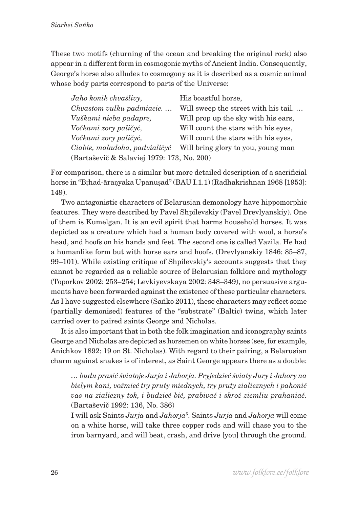These two motifs (churning of the ocean and breaking the original rock) also appear in a different form in cosmogonic myths of Ancient India. Consequently, George's horse also alludes to cosmogony as it is described as a cosmic animal whose body parts correspond to parts of the Universe:

| Jaho konik chvaślivy,                      | His boastful horse,                 |
|--------------------------------------------|-------------------------------------|
| Chvastom vulku padmiacie                   | Will sweep the street with his tail |
| Vuškami nieba padapre,                     | Will prop up the sky with his ears, |
| Vočkami zory paličyć,                      | Will count the stars with his eyes, |
| Vočkami zory paličyć,                      | Will count the stars with his eyes, |
| Ciabie, maladoha, padvialičyć              | Will bring glory to you, young man  |
| (Bartaševič & Salaviej 1979: 173, No. 200) |                                     |

For comparison, there is a similar but more detailed description of a sacrificial horse in "Bṛhad-āraṇyaka Upanuṣad" (BAU I.1.1) (Radhakrishnan 1968 [1953]: 149).

Two antagonistic characters of Belarusian demonology have hippomorphic features. They were described by Pavel Shpilevskiy (Pavel Drevlyanskiy). One of them is Kumelgan. It is an evil spirit that harms household horses. It was depicted as a creature which had a human body covered with wool, a horse's head, and hoofs on his hands and feet. The second one is called Vazila. He had a humanlike form but with horse ears and hoofs. (Drevlyanskiy 1846: 85–87, 99–101). While existing critique of Shpilevskiy's accounts suggests that they cannot be regarded as a reliable source of Belarusian folklore and mythology (Toporkov 2002: 253–254; Levkiyevskaya 2002: 348–349), no persuasive arguments have been forwarded against the existence of these particular characters. As I have suggested elsewhere (Sańko 2011), these characters may reflect some (partially demonised) features of the "substrate" (Baltic) twins, which later carried over to paired saints George and Nicholas.

It is also important that in both the folk imagination and iconography saints George and Nicholas are depicted as horsemen on white horses (see, for example, Anichkov 1892: 19 on St. Nicholas). With regard to their pairing, a Belarusian charm against snakes is of interest, as Saint George appears there as a double:

*… budu prasić śviatoje Jurja i Jahorja. Pryjedzieć śviaty Jury i Jahory na bielym kani, voźmieć try pruty miednych, try pruty zialieznych i pahonić vas na zialiezny tok, i budzieć bić, prabivać i skroź ziemliu prahaniać.*  (Bartaševič 1992: 136, No. 386)

I will ask Saints *Jurja* and *Jahorja*<sup>5</sup> . Saints *Jurja* and *Jahorja* will come on a white horse, will take three copper rods and will chase you to the iron barnyard, and will beat, crash, and drive [you] through the ground.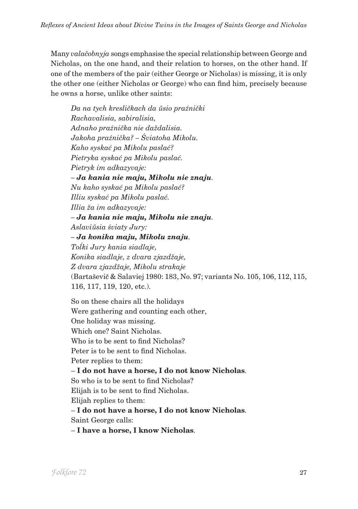Many *valačobnyja* songs emphasise the special relationship between George and Nicholas, on the one hand, and their relation to horses, on the other hand. If one of the members of the pair (either George or Nicholas) is missing, it is only the other one (either Nicholas or George) who can find him, precisely because he owns a horse, unlike other saints:

*Da na tych kresličkach da ŭsio praźnički Rachavalisia, sabiralisia, Adnaho praźnička nie daždalisia. Jakoha praźnička? – Śviatoha Mikolu. Kaho syskać pa Mikolu paslać? Pietryka syskać pa Mikolu paslać. Pietryk im adkazyvaje: – Ja kania nie maju, Mikolu nie znaju. Nu kaho syskać pa Mikolu paslać? Illiu syskać pa Mikolu paslać. Illia ža im adkazyvaje: – Ja kania nie maju, Mikolu nie znaju. Aslaviŭsia śviaty Jury: – Ja konika maju, Mikolu znaju. Toĺki Jury kania siadlaje, Konika siadlaje, z dvara zjazdžaje, Z dvara zjazdžaje, Mikolu strakaje* (Bartaševič & Salaviej 1980: 183, No. 97; variants No. 105, 106, 112, 115, 116, 117, 119, 120, etc.).

So on these chairs all the holidays Were gathering and counting each other, One holiday was missing. Which one? Saint Nicholas. Who is to be sent to find Nicholas? Peter is to be sent to find Nicholas. Peter replies to them: – **I do not have a horse, I do not know Nicholas**. So who is to be sent to find Nicholas? Elijah is to be sent to find Nicholas. Elijah replies to them: – **I do not have a horse, I do not know Nicholas**. Saint George calls: – **I have a horse, I know Nicholas**.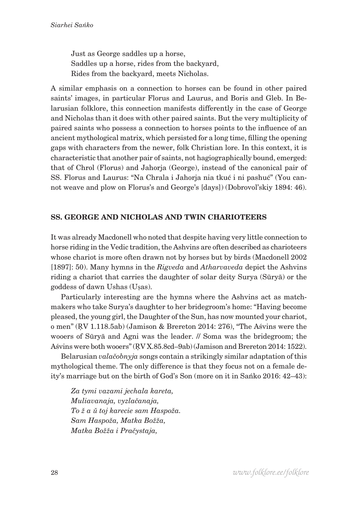Just as George saddles up a horse, Saddles up a horse, rides from the backyard, Rides from the backyard, meets Nicholas.

A similar emphasis on a connection to horses can be found in other paired saints' images, in particular Florus and Laurus, and Boris and Gleb. In Belarusian folklore, this connection manifests differently in the case of George and Nicholas than it does with other paired saints. But the very multiplicity of paired saints who possess a connection to horses points to the influence of an ancient mythological matrix, which persisted for a long time, filling the opening gaps with characters from the newer, folk Christian lore. In this context, it is characteristic that another pair of saints, not hagiographically bound, emerged: that of Chrol (Florus) and Jahorja (George), instead of the canonical pair of SS. Florus and Laurus: "Na Chrala i Jahorja nia tkuć i ni pashuć" (You cannot weave and plow on Florus's and George's [days]) (Dobrovol'skiy 1894: 46).

### **SS. GEORGE AND NICHOLAS AND TWIN CHARIOTEERS**

It was already Macdonell who noted that despite having very little connection to horse riding in the Vedic tradition, the Ashvins are often described as charioteers whose chariot is more often drawn not by horses but by birds (Macdonell 2002 [1897]: 50). Many hymns in the *Rigveda* and *Atharvaveda* depict the Ashvins riding a chariot that carries the daughter of solar deity Surya (Sūryā) or the goddess of dawn Ushas (Uṣas).

Particularly interesting are the hymns where the Ashvins act as matchmakers who take Surya's daughter to her bridegroom's home: "Having become pleased, the young girl, the Daughter of the Sun, has now mounted your chariot, o men" (ṚV 1.118.5ab) (Jamison & Brereton 2014: 276), "The Aśvins were the wooers of Sūryā and Agni was the leader. // Soma was the bridegroom; the Aśvins were both wooers" (ṚV X.85.8cd–9ab) (Jamison and Brereton 2014: 1522).

Belarusian *valačobnyja* songs contain a strikingly similar adaptation of this mythological theme. The only difference is that they focus not on a female deity's marriage but on the birth of God's Son (more on it in Sańko 2016: 42–43):

*Za tymi vazami jechala kareta, Muliavanaja, vyzlačanaja, To ž a ŭ toj karecie sam Haspoža. Sam Haspoža, Matka Božža, Matka Božža i Pračystaja,*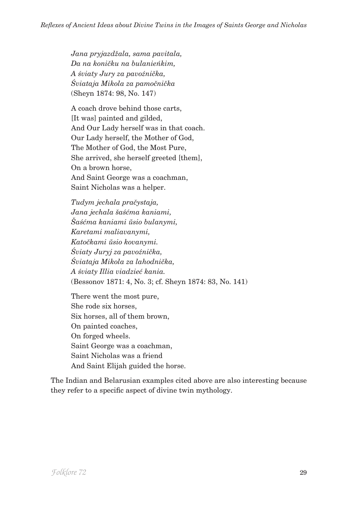*Jana pryjazdžala, sama pavitala, Da na koničku na bulanieńkim, A śviaty Jury za pavoźnička, Śviataja Mikola za pamočnička* (Sheyn 1874: 98, No. 147)

A coach drove behind those carts, [It was] painted and gilded, And Our Lady herself was in that coach. Our Lady herself, the Mother of God, The Mother of God, the Most Pure, She arrived, she herself greeted [them], On a brown horse, And Saint George was a coachman, Saint Nicholas was a helper.

*Tudym jechala pračystaja, Jana jechala šaśćma kaniami, Šaśćma kaniami ŭsio bulanymi, Karetami maliavanymi, Katočkami ŭsio kovanymi. Śviaty Juryj za pavoźnička, Śviataja Mikola za lahodnička, A śviaty Illia viadzieć kania.* (Bessonov 1871: 4, No. 3; cf. Sheyn 1874: 83, No. 141)

There went the most pure, She rode six horses, Six horses, all of them brown, On painted coaches, On forged wheels. Saint George was a coachman, Saint Nicholas was a friend And Saint Elijah guided the horse.

The Indian and Belarusian examples cited above are also interesting because they refer to a specific aspect of divine twin mythology.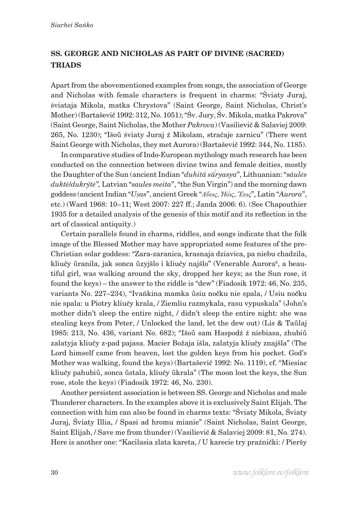## **SS. GEORGE AND NICHOLAS AS PART OF DIVINE (SACRED) TRIADS**

Apart from the abovementioned examples from songs, the association of George and Nicholas with female characters is frequent in charms: "Śviaty Juraj, śviataja Mikola, matka Chrystova" (Saint George, Saint Nicholas, Christ's Mother) (Bartaševič 1992: 312, No. 1051); "Śv. Jury, Śv. Mikola, matka Pakrova" (Saint George, Saint Nicholas, the Mother *Pakrova*) (Vasilievič & Salaviej 2009: 265, No. 1230); "Išoŭ śviaty Juraj ź Mikolam, stračaje zarnicu" (There went Saint George with Nicholas, they met Aurora) (Bartaševič 1992: 344, No. 1185).

In comparative studies of Indo-European mythology much research has been conducted on the connection between divine twins and female deities, mostly the Daughter of the Sun (ancient Indian "*duhitá sūryasya ́* ", Lithuanian: "*sáulės duktė*/*dukrýtė",* Latvian "*saules meita*", "the Sun Virgin") and the morning dawn goddess (ancient Indian "*Uṣas*", ancient Greek "*Αὔως*, *Ἠώς*, *Ἕως*", Latin "*Aurora*", etc.) (Ward 1968: 10–11; West 2007: 227 ff.; Janda 2006: 6). (See Chapouthier 1935 for a detailed analysis of the genesis of this motif and its reflection in the art of classical antiquity.)

Certain parallels found in charms, riddles, and songs indicate that the folk image of the Blessed Mother may have appropriated some features of the pre-Christian solar goddess: "Zara-zaranica, krasnaja dziavica, pa niebu chadzila, kliučy ŭranila, jak sonca ŭzyjšlo i kliučy najšlo" (Venerable Aurora<sup>6</sup>, a beautiful girl, was walking around the sky, dropped her keys; as the Sun rose, it found the keys) – the answer to the riddle is "dew" (Fiadosik 1972: 46, No. 235, variants No. 227–234), "Ivańkina mamka ŭsiu nočku nie spala, / Usiu nočku nie spala: u Piotry kliučy krala, / Ziemliu razmykala, rasu vypuskala" (John's mother didn't sleep the entire night, / didn't sleep the entire night: she was stealing keys from Peter, / Unlocked the land, let the dew out) (Lis & Taŭlaj 1985: 213, No. 436, variant No. 682); "Išoŭ sam Haspodź ź niebiasa, zhubiŭ zalatyja kliučy z-pad pajasa. Macier Božaja išla, zalatyja kliučy znajšla" (The Lord himself came from heaven, lost the golden keys from his pocket. God's Mother was walking, found the keys) (Bartaševič 1992: No. 1119), cf. "Miesiac kliučy pahubiŭ, sonca ŭstala, kliučy ŭkrala" (The moon lost the keys, the Sun rose, stole the keys) (Fiadosik 1972: 46, No. 230).

Another persistent association is between SS. George and Nicholas and male Thunderer characters. In the examples above it is exclusively Saint Elijah. The connection with him can also be found in charms texts: "Śviaty Mikola, Śviaty Juraj, Śviaty Illia, / Spasi ad hromu mianie" (Saint Nicholas, Saint George, Saint Elijah, / Save me from thunder) (Vasilievič & Salaviej 2009: 81, No. 274). Here is another one: "Kacilasia zlata kareta, / U karecie try praźnički: / Pieršy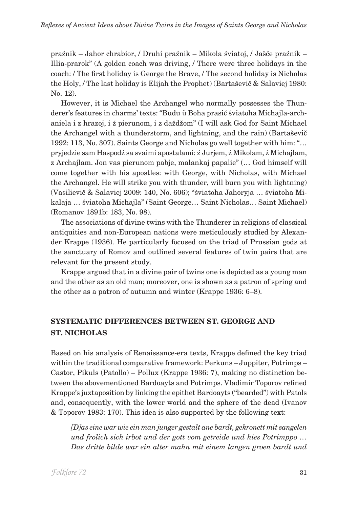praźnik – Jahor chrabior, / Druhi praźnik – Mikola śviatoj, / Jašče praźnik – Illia-prarok" (A golden coach was driving, / There were three holidays in the coach: / The first holiday is George the Brave, / The second holiday is Nicholas the Holy, / The last holiday is Elijah the Prophet) (Bartaševič & Salaviej 1980: No. 12).

However, it is Michael the Archangel who normally possesses the Thunderer's features in charms' texts: "Budu ŭ Boha prasić śviatoha Michajla-archaniela i z hrazoj, i ź pierunom, i z daždžom" (I will ask God for Saint Michael the Archangel with a thunderstorm, and lightning, and the rain) (Bartaševič 1992: 113, No. 307). Saints George and Nicholas go well together with him: "… pryjedzie sam Haspodź sa svaimi apostalami: ź Jurjem, ź Mikolam, ź Michajlam, z Archajlam. Jon vas pierunom pabje, malankaj papalie" (… God himself will come together with his apostles: with George, with Nicholas, with Michael the Archangel. He will strike you with thunder, will burn you with lightning) (Vasilievič & Salaviej 2009: 140, No. 606); "śviatoha Jahoryja … śviatoha Mikalaja … śviatoha Michajla" (Saint George… Saint Nicholas… Saint Michael) (Romanov 1891b: 183, No. 98).

The associations of divine twins with the Thunderer in religions of classical antiquities and non-European nations were meticulously studied by Alexander Krappe (1936). He particularly focused on the triad of Prussian gods at the sanctuary of Romov and outlined several features of twin pairs that are relevant for the present study.

Krappe argued that in a divine pair of twins one is depicted as a young man and the other as an old man; moreover, one is shown as a patron of spring and the other as a patron of autumn and winter (Krappe 1936: 6–8).

# **SYSTEMATIC DIFFERENCES BETWEEN ST. GEORGE AND ST. NICHOLAS**

Based on his analysis of Renaissance-era texts, Krappe defined the key triad within the traditional comparative framework: Perkuns – Juppiter, Potrimps – Castor, Pikuls (Patollo) – Pollux (Krappe 1936: 7), making no distinction between the abovementioned Bardoayts and Potrimps. Vladimir Toporov refined Krappe's juxtaposition by linking the epithet Bardoayts ("bearded") with Patols and, consequently, with the lower world and the sphere of the dead (Ivanov & Toporov 1983: 170). This idea is also supported by the following text:

*[D]as eine war wie ein man junger gestalt ane bardt, gekronett mit sangelen und frolich sich irbot und der gott vom getreide und hies Potrimppo … Das dritte bilde war ein alter mahn mit einem langen groen bardt und*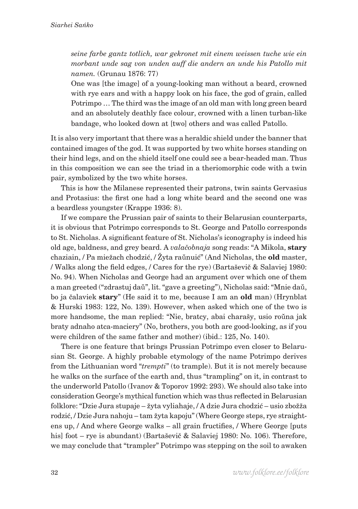*seine farbe gantz totlich, war gekronet mit einem weissen tuche wie ein morbant unde sag von unden auff die andern an unde his Patollo mit namen.* (Grunau 1876: 77)

One was [the image] of a young-looking man without a beard, crowned with rye ears and with a happy look on his face, the god of grain, called Potrimpo … The third was the image of an old man with long green beard and an absolutely deathly face colour, crowned with a linen turban-like bandage, who looked down at [two] others and was called Patollo.

It is also very important that there was a heraldic shield under the banner that contained images of the god. It was supported by two white horses standing on their hind legs, and on the shield itself one could see a bear-headed man. Thus in this composition we can see the triad in a theriomorphic code with a twin pair, symbolized by the two white horses.

This is how the Milanese represented their patrons, twin saints Gervasius and Protasius: the first one had a long white beard and the second one was a beardless youngster (Krappe 1936: 8).

If we compare the Prussian pair of saints to their Belarusian counterparts, it is obvious that Potrimpo corresponds to St. George and Patollo corresponds to St. Nicholas. A significant feature of St. Nicholas's iconography is indeed his old age, baldness, and grey beard. A *valačobnaja* song reads: "A Mikola, **stary** chaziain, / Pa miežach chodzić, / Žyta raŭnuić" (And Nicholas, the **old** master, / Walks along the field edges, / Cares for the rye) (Bartaševič & Salaviej 1980: No. 94). When Nicholas and George had an argument over which one of them a man greeted ("zdrastuj daŭ", lit. "gave a greeting"), Nicholas said: "Mnie daŭ, bo ja čalaviek **stary**" (He said it to me, because I am an **old** man) (Hrynblat & Hurski 1983: 122, No. 139). However, when asked which one of the two is more handsome, the man replied: "Nie, bratcy, abai charašy, usio roŭna jak braty adnaho atca-maciery" (No, brothers, you both are good-looking, as if you were children of the same father and mother) (ibid.: 125, No. 140).

There is one feature that brings Prussian Potrimpo even closer to Belarusian St. George. A highly probable etymology of the name Potrimpo derives from the Lithuanian word "*trempti*" (to trample). But it is not merely because he walks on the surface of the earth and, thus "trampling" on it, in contrast to the underworld Patollo (Ivanov & Toporov 1992: 293). We should also take into consideration George's mythical function which was thus reflected in Belarusian folklore: "Dzie Jura stupaje – žyta vyliahaje, / A dzie Jura chodzić – usio zbožža rodzić, / Dzie Jura nahoju – tam žyta kapoju" (Where George steps, rye straightens up, / And where George walks – all grain fructifies, / Where George [puts his] foot – rye is abundant) (Bartaševič & Salaviej 1980: No. 106). Therefore, we may conclude that "trampler" Potrimpo was stepping on the soil to awaken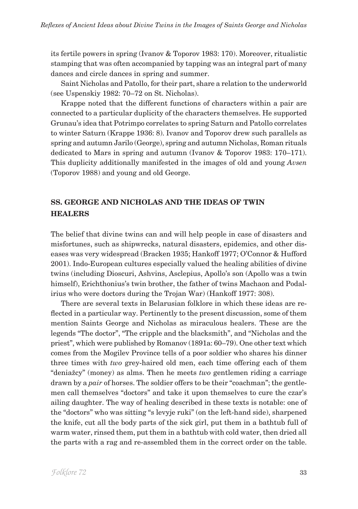its fertile powers in spring (Ivanov & Toporov 1983: 170). Moreover, ritualistic stamping that was often accompanied by tapping was an integral part of many dances and circle dances in spring and summer.

Saint Nicholas and Patollo, for their part, share a relation to the underworld (see Uspenskiy 1982: 70–72 on St. Nicholas).

Krappe noted that the different functions of characters within a pair are connected to a particular duplicity of the characters themselves. He supported Grunau's idea that Potrimpo correlates to spring Saturn and Patollo correlates to winter Saturn (Krappe 1936: 8). Ivanov and Toporov drew such parallels as spring and autumn Jarilo (George), spring and autumn Nicholas, Roman rituals dedicated to Mars in spring and autumn (Ivanov & Toporov 1983: 170–171). This duplicity additionally manifested in the images of old and young *Avsen* (Toporov 1988) and young and old George.

### **SS. GEORGE AND NICHOLAS AND THE IDEAS OF TWIN HEALERS**

The belief that divine twins can and will help people in case of disasters and misfortunes, such as shipwrecks, natural disasters, epidemics, and other diseases was very widespread (Bracken 1935; Hankoff 1977; O'Connor & Hufford 2001). Indo-European cultures especially valued the healing abilities of divine twins (including Dioscuri, Ashvins, Asclepius, Apollo's son (Apollo was a twin himself), Erichthonius's twin brother, the father of twins Machaon and Podalirius who were doctors during the Trojan War) (Hankoff 1977: 308).

There are several texts in Belarusian folklore in which these ideas are reflected in a particular way. Pertinently to the present discussion, some of them mention Saints George and Nicholas as miraculous healers. These are the legends "The doctor", "The cripple and the blacksmith", and "Nicholas and the priest", which were published by Romanov (1891a: 60–79). One other text which comes from the Mogilev Province tells of a poor soldier who shares his dinner three times with *two* grey-haired old men, each time offering each of them "deniažcy" (money) as alms. Then he meets *two* gentlemen riding a carriage drawn by a *pair* of horses. The soldier offers to be their "coachman"; the gentlemen call themselves "doctors" and take it upon themselves to cure the czar's ailing daughter. The way of healing described in these texts is notable: one of the "doctors" who was sitting "s levyje ruki" (on the left-hand side), sharpened the knife, cut all the body parts of the sick girl, put them in a bathtub full of warm water, rinsed them, put them in a bathtub with cold water, then dried all the parts with a rag and re-assembled them in the correct order on the table.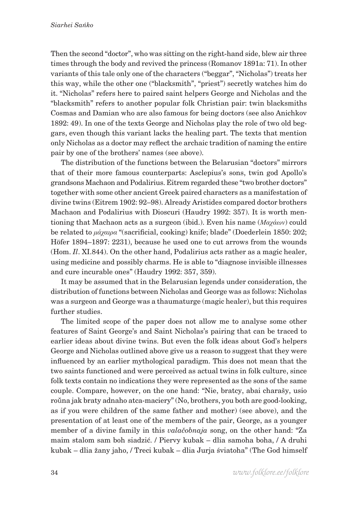Then the second "doctor", who was sitting on the right-hand side, blew air three times through the body and revived the princess (Romanov 1891a: 71). In other variants of this tale only one of the characters ("beggar", "Nicholas") treats her this way, while the other one ("blacksmith", "priest") secretly watches him do it. "Nicholas" refers here to paired saint helpers George and Nicholas and the "blacksmith" refers to another popular folk Christian pair: twin blacksmiths Cosmas and Damian who are also famous for being doctors (see also Anichkov 1892: 49). In one of the texts George and Nicholas play the role of two old beggars, even though this variant lacks the healing part. The texts that mention only Nicholas as a doctor may reflect the archaic tradition of naming the entire pair by one of the brothers' names (see above).

The distribution of the functions between the Belarusian "doctors" mirrors that of their more famous counterparts: Asclepius's sons, twin god Apollo's grandsons Machaon and Podalirius. Eitrem regarded these "two brother doctors" together with some other ancient Greek paired characters as a manifestation of divine twins (Eitrem 1902: 92–98). Already Aristides compared doctor brothers Machaon and Podalirius with Dioscuri (Haudry 1992: 357). It is worth mentioning that Machaon acts as a surgeon (ibid.). Even his name (*Μαχάων*) could be related to *μάχαιρα* "(sacrificial, cooking) knife; blade" (Doederlein 1850: 202; Höfer 1894–1897: 2231), because he used one to cut arrows from the wounds (Hom. *Il*. XI.844). On the other hand, Podalirius acts rather as a magic healer, using medicine and possibly charms. He is able to "diagnose invisible illnesses and cure incurable ones" (Haudry 1992: 357, 359).

It may be assumed that in the Belarusian legends under consideration, the distribution of functions between Nicholas and George was as follows: Nicholas was a surgeon and George was a thaumaturge (magic healer), but this requires further studies.

The limited scope of the paper does not allow me to analyse some other features of Saint George's and Saint Nicholas's pairing that can be traced to earlier ideas about divine twins. But even the folk ideas about God's helpers George and Nicholas outlined above give us a reason to suggest that they were influenced by an earlier mythological paradigm. This does not mean that the two saints functioned and were perceived as actual twins in folk culture, since folk texts contain no indications they were represented as the sons of the same couple. Compare, however, on the one hand: "Nie, bratcy, abai charašy, usio roŭna jak braty adnaho atca-maciery" (No, brothers, you both are good-looking, as if you were children of the same father and mother) (see above), and the presentation of at least one of the members of the pair, George, as a younger member of a divine family in this *valačobnaja* song, on the other hand: "Za maim stalom sam boh siadzić. / Piervy kubak – dlia samoha boha, / A druhi kubak – dlia žany jaho, / Treci kubak – dlia Jurja śviatoha" (The God himself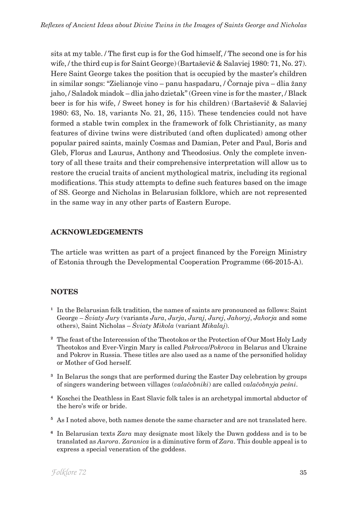sits at my table. / The first cup is for the God himself, / The second one is for his wife, / the third cup is for Saint George) (Bartaševič & Salaviej 1980: 71, No. 27). Here Saint George takes the position that is occupied by the master's children in similar songs: "Zielianoje vino – panu haspadaru, / Čornaje piva – dlia žany jaho, / Saladok miadok – dlia jaho dzietak" (Green vine is for the master, / Black beer is for his wife, / Sweet honey is for his children) (Bartaševič & Salaviej 1980: 63, No. 18, variants No. 21, 26, 115). These tendencies could not have formed a stable twin complex in the framework of folk Christianity, as many features of divine twins were distributed (and often duplicated) among other popular paired saints, mainly Cosmas and Damian, Peter and Paul, Boris and Gleb, Florus and Laurus, Anthony and Theodosius. Only the complete inventory of all these traits and their comprehensive interpretation will allow us to restore the crucial traits of ancient mythological matrix, including its regional modifications. This study attempts to define such features based on the image of SS. George and Nicholas in Belarusian folklore, which are not represented in the same way in any other parts of Eastern Europe.

### **ACKNOWLEDGEMENTS**

The article was written as part of a project financed by the Foreign Ministry of Estonia through the Developmental Cooperation Programme (66-2015-A).

### **notes**

- **<sup>1</sup>** In the Belarusian folk tradition, the names of saints are pronounced as follows: Saint George – *Śviaty Jury* (variants *Jura*, *Jurja*, *Juraj*, *Jurej*, *Jahoryj*, *Jahorja* and some others), Saint Nicholas – *Śviaty Mikola* (variant *Mikalaj*).
- **<sup>2</sup>** The feast of the Intercession of the Theotokos or the Protection of Our Most Holy Lady Theotokos and Ever-Virgin Mary is called *Pakrova*/*Pokrova* in Belarus and Ukraine and Pokrov in Russia. These titles are also used as a name of the personified holiday or Mother of God herself.
- **<sup>3</sup>** In Belarus the songs that are performed during the Easter Day celebration by groups of singers wandering between villages (*valačobniki*) are called *valačobnyja peśni*.
- **<sup>4</sup>** Koschei the Deathless in East Slavic folk tales is an archetypal immortal abductor of the hero's wife or bride.
- **<sup>5</sup>** As I noted above, both names denote the same character and are not translated here.
- **<sup>6</sup>** In Belarusian texts *Zara* may designate most likely the Dawn goddess and is to be translated as *Aurora*. *Zaranica* is a diminutive form of *Zara*. This double appeal is to express a special veneration of the goddess.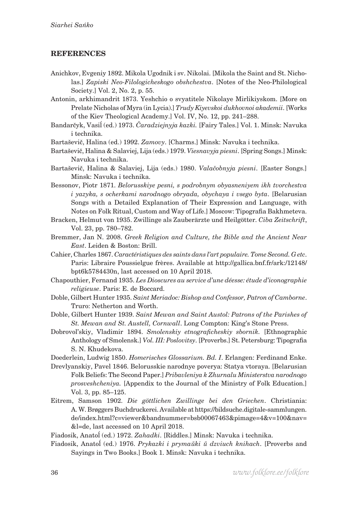#### **REFERENCES**

- Anichkov, Evgeniy 1892. Mikola Ugodnik i sv. Nikolai. [Mikola the Saint and St. Nicholas.] *Zapiski Neo-Filologicheskogo obshchestva*. [Notes of the Neo-Philological Society.] Vol. 2, No. 2, p. 55.
- Antonin, arkhimandrit 1873. Yeshchio o svyatitele Nikolaye Mirlikiyskom. [More on Prelate Nicholas of Myra (in Lycia).] *Trudy Kiyevskoi dukhovnoi akademii*. [Works of the Kiev Theological Academy.] Vol. IV, No. 12, pp. 241–288.
- Bandarčyk, Vasiĺ (ed.) 1973. *Čaradziejnyja kazki.* [Fairy Tales.] Vol. 1. Minsk: Navuka i technika.
- Bartaševič, Halina (ed.) 1992. *Zamovy*. [Charms.] Minsk: Navuka i technika.
- Bartaševič, Halina & Salaviej, Lija (eds.) 1979. *Viesnavyja piesni*. [Spring Songs.] Minsk: Navuka i technika.
- Bartaševič, Halina & Salaviej, Lija (eds.) 1980. *Valačobnyja piesni*. [Easter Songs.] Minsk: Navuka i technika.
- Bessonov, Piotr 1871. *Belorusskiye pesni, s podrobnym obyasneniyem ikh tvorchestva i yazyka, s ocherkami narodnogo obryada, obychaya i vsego byta*. [Belarusian Songs with a Detailed Explanation of Their Expression and Language, with Notes on Folk Ritual, Custom and Way of Life.] Moscow: Tipografia Bakhmeteva.
- Bracken, Helmut von 1935. Zwillinge als Zauberärzte und Heilgötter. *Ciba Zeitschrift*, Vol. 23, pp. 780–782.
- Bremmer, Jan N. 2008. *Greek Religion and Culture, the Bible and the Ancient Near East*. Leiden & Boston: Brill.
- Cahier, Charles 1867. *Caractéristiques des saints dans l'art populaire. Tome Second. G etc*. Paris: Libraire Poussielgue frères. Available at http://gallica.bnf.fr/ark:/12148/ bpt6k5784430n, last accessed on 10 April 2018.
- Chapouthier, Fernand 1935. *Les Dioscures au service d'une déesse: étude d'iconographie religieuse*. Paris: E. de Boccard.
- Doble, Gilbert Hunter 1935. *Saint Meriadoc: Bishop and Confessor, Patron of Camborne*. Truro: Netherton and Worth.
- Doble, Gilbert Hunter 1939. *Saint Mewan and Saint Austol: Patrons of the Parishes of St. Mewan and St. Austell, Cornwall*. Long Compton: King's Stone Press.
- Dobrovol'skiy, Vladimir 1894. *Smolenskiy etnograficheskiy sbornik.* [Ethnographic Anthology of Smolensk.] *Vol. III: Poslovitsy*. [Proverbs.] St. Petersburg: Tipografia S. N. Khudekova.
- Doederlein, Ludwig 1850. *Homerisches Glossarium. Bd. I*. Erlangen: Ferdinand Enke.
- Drevlyanskiy, Pavel 1846. Belorusskie narodnye poverya: Statya vtoraya. [Belarusian Folk Beliefs: The Second Paper.] *Pribavleniya k Zhurnalu Ministerstva narodnogo prosveshcheniya.* [Appendix to the Journal of the Ministry of Folk Education.] Vol. 3, pp. 85–125.
- Eitrem, Samson 1902. *Die göttlichen Zwillinge bei den Griechen*. Christiania: A.W. Brøggers Buchdruckerei. Available at https://bildsuche.digitale-sammlungen. de/index.html?c=viewer&bandnummer=bsb00067463&pimage=4&v=100&nav= &l=de, last accessed on 10 April 2018.

Fiadosik, Anatoĺ (ed.) 1972. *Zahadki*. [Riddles.] Minsk: Navuka i technika.

Fiadosik, Anatoĺ (ed.) 1976. *Prykazki i prymaŭki ŭ dzviuch knihach*. [Proverbs and Sayings in Two Books.] Book 1. Minsk: Navuka i technika.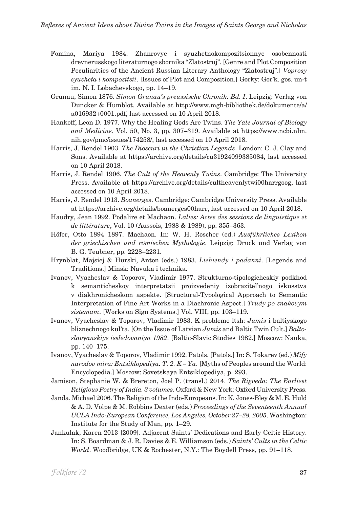- Fomina, Mariya 1984. Zhanrovye i syuzhetnokompozitsionnye osobennosti drevnerusskogo literaturnogo sbornika "Zlatostruj". [Genre and Plot Composition Peculiarities of the Ancient Russian Literary Anthology "Zlatostruj".] *Voprosy syuzheta i kompozitsii*. [Issues of Plot and Composition.] Gorky: Gor'k. gos. un-t im. N. I. Lobachevskogo, pp. 14–19.
- Grunau, Simon 1876. *Simon Grunau's preussische Chronik. Bd. I*. Leipzig: Verlag von Duncker & Humblot. Available at http://www.mgh-bibliothek.de/dokumente/a/ a016932+0001.pdf, last accessed on 10 April 2018.
- Hankoff, Leon D. 1977. Why the Healing Gods Are Twins. *The Yale Journal of Biology and Medicine*, Vol. 50, No. 3, pp. 307–319. Available at https://www.ncbi.nlm. nih.gov/pmc/issues/174258/, last accessed on 10 April 2018.
- Harris, J. Rendel 1903. *The Dioscuri in the Christian Legends*. London: C. J. Clay and Sons. Available at https://archive.org/details/cu31924099385084, last accessed on 10 April 2018.
- Harris, J. Rendel 1906. *The Cult of the Heavenly Twins*. Cambridge: The University Press. Available at https://archive.org/details/cultheavenlytwi00harrgoog, last accessed on 10 April 2018.
- Harris, J. Rendel 1913. *Boanerges*. Cambridge: Cambridge University Press. Available at https://archive.org/details/boanerges00harr, last accessed on 10 April 2018.
- Haudry, Jean 1992. Podalire et Machaon. *Lalies: Actes des sessions de linguistique et de littérature*, Vol. 10 (Aussois, 1988 & 1989), pp. 355–363.
- Höfer, Otto 1894–1897. Machaon. In: W. H. Roscher (ed.) *Ausführliches Lexikon der griechischen und römischen Mythologie*. Leipzig: Druck und Verlag von B. G. Teubner, pp. 2228–2231.
- Hrynblat, Majsiej & Hurski, Anton (eds.) 1983. *Liehiendy i padanni*. [Legends and Traditions.] Minsk: Navuka i technika.
- Ivanov, Vyacheslav & Toporov, Vladimir 1977. Strukturno-tipologicheskiy podkhod k semanticheskoy interpretatsii proizvedeniy izobrazitel'nogo iskusstva v diakhronicheskom aspekte. [Structural-Typological Approach to Semantic Interpretation of Fine Art Works in a Diachronic Aspect.] *Trudy po znakovym sistemam*. [Works on Sign Systems.] Vol. VIII, pp. 103–119.
- Ivanov, Vyacheslav & Toporov, Vladimir 1983. K probleme ltsh: *Jumis* i baltiyskogo bliznechnogo kul'ta. [On the Issue of Latvian *Jumis* and Baltic Twin Cult.] *Baltoslavyanskiye issledovaniya 1982*. [Baltic-Slavic Studies 1982.] Moscow: Nauka, pp. 140–175.
- Ivanov, Vyacheslav & Toporov, Vladimir 1992. Patols. [Patols.] In: S. Tokarev (ed.) *Mify narodov mira: Entsiklopediya. T. 2. K – Ya*. [Myths of Peoples around the World: Encyclopedia.] Moscow: Sovetskaya Entsiklopediya, p. 293.
- Jamison, Stephanie W. & Brereton, Joel P. (transl.) 2014. *The Rigveda: The Earliest Religious Poetry of India. 3 volumes*. Oxford & New York: Oxford University Press.
- Janda, Michael 2006. The Religion of the Indo-Europeans. In: K. Jones-Bley & M. E. Huld & A. D. Volpe & M. Robbins Dexter (eds.) *Proceedings of the Seventeenth Annual UCLA Indo-European Conference, Los Angeles, October 27–28, 2005*. Washington: Institute for the Study of Man, pp. 1–29.
- Jankulak, Karen 2013 [2009]. Adjacent Saints' Dedications and Early Celtic History. In: S. Boardman & J. R. Davies & E. Williamson (eds.) *Saints' Cults in the Celtic World*. Woodbridge, UK & Rochester, N.Y.: The Boydell Press, pp. 91–118.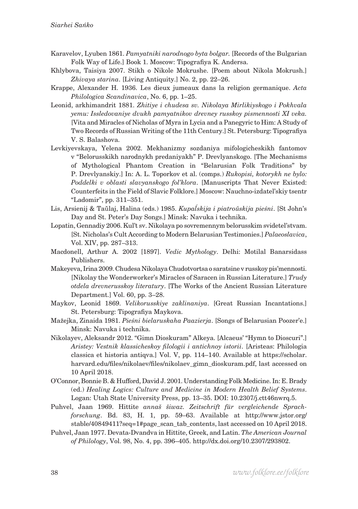- Karavelov, Lyuben 1861. *Pamyatniki narodnogo byta bolgar.* [Records of the Bulgarian Folk Way of Life.] Book 1. Moscow: Tipografiya K. Andersa.
- Khlybova, Taisiya 2007. Stikh o Nikole Mokrushe. [Poem about Nikola Mokrush.] *Zhivaya starina*. [Living Antiquity.] No. 2, pp. 22–26.
- Krappe, Alexander H. 1936. Les dieux jumeaux dans la religion germanique. *Acta Philologica Scandinavica*, No. 6, pp. 1–25.
- Leonid, arkhimandrit 1881. *Zhitiye i chudesa sv. Nikolaya Mirlikiyskogo i Pokhvala yemu: Issledovaniye dvukh pamyatnikov drevney russkoy pismennosti XI veka.* [Vita and Miracles of Nicholas of Myra in Lycia and a Panegyric to Him: A Study of Two Records of Russian Writing of the 11th Century.] St. Petersburg: Tipografiya V. S. Balashova.
- Levkiyevskaya, Yelena 2002. Mekhanizmy sozdaniya mifologicheskikh fantomov v "Belorusskikh narodnykh predaniyakh" P. Drevlyanskogo. [The Mechanisms of Mythological Phantom Creation in "Belarusian Folk Traditions" by P. Drevlyanskiy.] In: A. L. Toporkov et al. (comps.) *Rukopisi, kotorykh ne bylo: Poddelki v oblasti slavyanskogo fol'klora*. [Manuscripts That Never Existed: Counterfeits in the Field of Slavic Folklore.] Moscow: Nauchno-izdatel'skiy tsentr "Ladomir", pp. 311–351.
- Lis, Arsienij & Taŭlaj, Halina (eds.) 1985. *Kupaĺskija i piatroŭskija pieśni*. [St John's Day and St. Peter's Day Songs.] Minsk: Navuka i technika.
- Lopatin, Gennadiy 2006. Kul't sv. Nikolaya po sovremennym belorusskim svidetel'stvam. [St. Nicholas's Cult According to Modern Belarusian Testimonies.] *Palaeoslavica*, Vol. XIV, pp. 287–313.
- Macdonell, Arthur A. 2002 [1897]. *Vedic Mythology*. Delhi: Motilal Banarsidass Publishers.
- Makeyeva, Irina 2009. Chudesa Nikolaya Chudotvortsa o saratsine v russkoy pis'mennosti. [Nikolay the Wonderworker's Miracles of Saracen in Russian Literature.] *Trudy otdela drevnerusskoy literatury*. [The Works of the Ancient Russian Literature Department.] Vol. 60, pp. 3–28.
- Maykov, Leonid 1869. *Velikorusskiye zaklinaniya*. [Great Russian Incantations.] St. Petersburg: Tipografiya Maykova.
- Mažejka, Zinaida 1981. *Pieśni bielaruskaha Paazierja*. [Songs of Belarusian Poozer'e.] Minsk: Navuka i technika.
- Nikolayev, Aleksandr 2012. "Gimn Dioskuram" Alkeya. [Alcaeus' "Hymn to Dioscuri".] *Aristey: Vestnik klassicheskoy filologii i antichnoy istorii*. [Aristeas: Philologia classica et historia antiqva.] Vol. V, pp. 114–140. Available at https://scholar. harvard.edu/files/nikolaev/files/nikolaev\_gimn\_dioskuram.pdf, last accessed on 10 April 2018.
- O'Connor, Bonnie B. & Hufford, David J. 2001. Understanding Folk Medicine. In: E. Brady (ed.) *Healing Logics: Culture and Medicine in Modern Health Belief Systems*. Logan: Utah State University Press, pp. 13–35. DOI: 10.2307/j.ctt46nwrq.5.
- Puhvel, Jaan 1969. Hittite *annaš šiwaz. Zeitschrift für vergleichende Sprachforschung*. Bd. 83, H. 1, pp. 59–63. Available at http://www.jstor.org/ stable/40849411?seq=1#page\_scan\_tab\_contents, last accessed on 10 April 2018.
- Puhvel, Jaan 1977. Devata-Dvandva in Hittite, Greek, and Latin. *The American Journal of Philology*, Vol. 98, No. 4, pp. 396–405. http://dx.doi.org/10.2307/293802.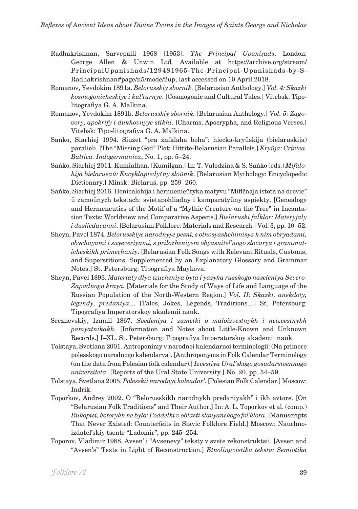- Radhakrishnan, Sarvepalli 1968 [1953]. *The Principal Upaniṣads*. London: George Allen & Unwin Ltd. Available at https://archive.org/stream/ PrincipalUpanishads/129481965-The-Principal-Upanishads-by-S-Radhakrishnan#page/n5/mode/2up, last accessed on 10 April 2018.
- Romanov, Yevdokim 1891a. *Belorusskiy sbornik.* [Belarusian Anthology.] *Vol. 4: Skazki kosmogonicheskiye i kul'turnye*. [Cosmogonic and Cultural Tales.] Vitebsk: Tipolitografiya G. A. Malkina.
- Romanov, Yevdokim 1891b. *Belorusskiy sbornik.* [Belarusian Anthology.] *Vol. 5: Zagovory, apokrify i dukhovnyye stikhi*. [Charms, Apocrypha, and Religious Verses.] Vitebsk: Tipo-litografiya G. A. Malkina.
- Sańko, Siarhiej 1994. Siužet "pra źniklaha boha": hiecka-kryŭskija (bielaruskija) paralieli. [The "Missing God" Plot: Hittite-Belarusian Parallels.] *Kryŭja: Crivica. Baltica. Indogermanica*, No. 1, pp. 5–24.
- Sańko, Siarhiej 2011. Kumiaĺhan. [Kumilgan.] In: T. Valodzina & S. Sańko (eds.) *Mifalohija bielarusaŭ: Encyklapiedyčny sloŭnik*. [Belarusian Mythology: Encyclopedic Dictionary.] Minsk: Bielaruś, pp. 259–260.
- Sańko, Siarhiej 2016. Heniealohija i hermienieŭtyka matyvu "Mifičnaja istota na drevie" ŭ zamoŭnych tekstach: svietapohliadny i kamparatyŭny aspiekty. [Genealogy and Hermeneutics of the Motif of a "Mythic Creature on the Tree" in Incantation Texts: Worldview and Comparative Aspects.] *Bielaruski faĺklor: Materyjaly i dasliedavanni*. [Belarusian Folklore: Materials and Research.] Vol. 3, pp. 10–52.
- Sheyn, Pavel 1874. *Belorusskiye narodnyye pesni, s otnosyashchimisya k nim obryadami, obychayami i suyeveriyami, s prilozheniyem obyasnitel'nogo slovarya i grammaticheskikh primechaniy*. [Belarusian Folk Songs with Relevant Rituals, Customs, and Superstitions, Supplemented by an Explanatory Glossary and Grammar Notes.] St. Petersburg: Tipografiya Maykova.
- Sheyn, Pavel 1893. *Materialy dlya izucheniya byta i yazyka russkogo naseleniya Severo-Zapadnogo kraya.* [Materials for the Study of Ways of Life and Language of the Russian Population of the North-Western Region.] *Vol. II: Skazki, anekdoty, legendy, predaniya*… [Tales, Jokes, Legends, Traditions…] St. Petersburg: Tipografiya Imperatorskoy akademii nauk.
- Sreznevskiy, Izmail 1867. *Svedeniya i zametki o maloizvestnykh i neizvestnykh pamyatnikakh.* [Information and Notes about Little-Known and Unknown Records.] I–XL. St. Petersburg: Tipografiya Imperatorskoy akademii nauk.
- Tolstaya, Svetlana 2001. Antroponimy v narodnoi kalendarnoi terminologii: (Na primere polesskogo narodnogo kalendarya). [Anthroponyms in Folk Calendar Terminology (on the data from Polesian folk calendar).] *Izvestiya Ural'skogo gosudarstvennogo universiteta*. [Reports of the Ural State University.] No. 20, pp. 54–59.
- Tolstaya, Svetlana 2005. *Polesskii narodnyi kalendar'*. [Polesian Folk Calendar.] Moscow: Indrik.
- Toporkov, Andrey 2002. O "Belorusskikh narodnykh predaniyakh" i ikh avtore. [On "Belarusian Folk Traditions" and Their Author.] In: A. L. Toporkov et al. (comp.) *Rukopisi, kotorykh ne bylo: Poddelki v oblasti slavyanskogo fol'klora*. [Manuscripts That Never Existed: Counterfeits in Slavic Folklore Field.] Moscow: Nauchnoizdatel'skiy tsentr "Ladomir", pp. 245–254.
- Toporov, Vladimir 1988. Avsen' i "Avsenevy" teksty v svete rekonstruktsii. [Avsen and "Avsen's" Texts in Light of Reconstruction.] *Etnolingvistika teksta: Semiotika*